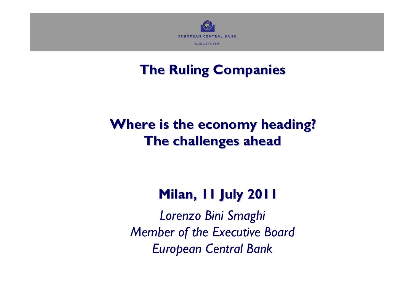

# **The Ruling Companies The Ruling Companies**

# **Where is the economy heading? Where is the economy heading? The challenges ahead The challenges ahead**

# **Milan, 11 July 2011 Milan, 11 July 2011**

*Lorenzo Bini Smaghi Member of the Executive Board European Central Bank*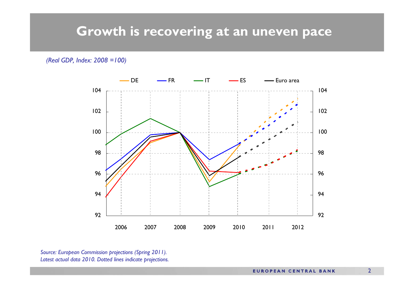### **Growth is recovering at an uneven pace**

*(Real GDP, Index: 2008 =100)*



*Source: European Commission projections (Spring 2011). Latest actual data 2010. Dotted lines indicate projections.*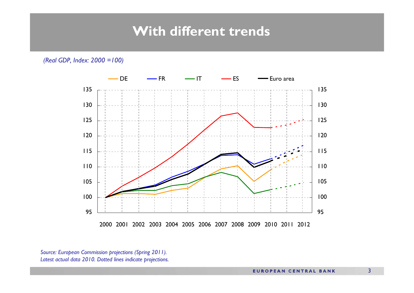### **With different trends**

*(Real GDP, Index: 2000 =100)*



*Source: European Commission projections (Spring 2011). Latest actual data 2010. Dotted lines indicate projections.*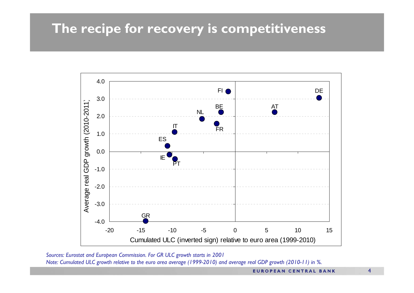# **The recipe for recovery is competitiveness**



*Sources: Eurostat and European Commission. For GR ULC growth starts in 2001 Note: Cumulated ULC growth relative to the euro area average (1999-2010) and average real GDP growth (2010-11) in %.*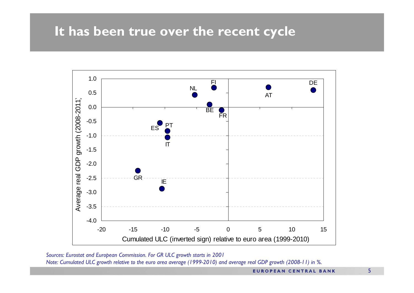### **It has been true over the recent cycle**



*Sources: Eurostat and European Commission. For GR ULC growth starts in 2001 Note: Cumulated ULC growth relative to the euro area average (1999-2010) and average real GDP growth (2008-11) in %.*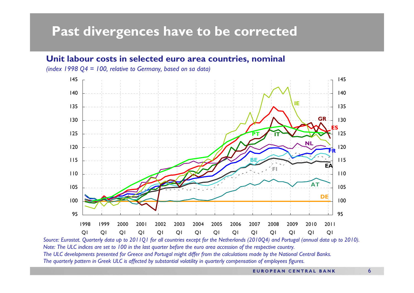### **Past divergences have to be corrected**

#### **Unit labour costs in selected euro area countries, nominal**

*(index 1998 Q4 = 100, relative to Germany, based on sa data)*



*Source: Eurostat. Quarterly data up to 2011Q1 for all countries except for the Netherlands (2010Q4) and Portugal (annual data up to 2010). Note: The ULC indices are set to 100 in the last quarter before the euro area accession of the respective country. The ULC developments presented for Greece and Portugal might differ from the calculations made by the National Central Banks. The quarterly pattern in Greek ULC is affected by substantial volatility in quarterly compensation of employees figures.*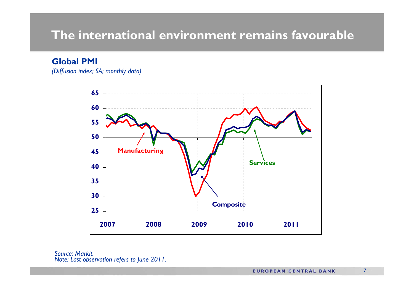### **The international environment remains favourable**

**Global PMI**

*(Diffusion index; SA; monthly data)*



*Source: Markit.Note: Last observation refers to June 2011.*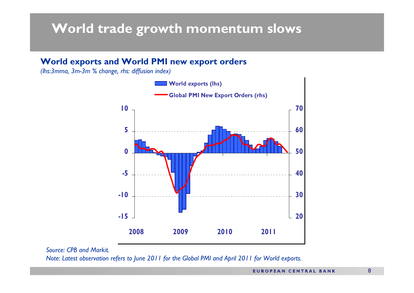# **World trade growth momentum slows**

#### **World exports and World PMI new export orders**

*(lhs:3mma, 3m-3m % change, rhs: diffusion index)*



*Source: CPB and Markit.*

*Note: Latest observation refers to June 2011 for the Global PMI and April 2011 for World exports.*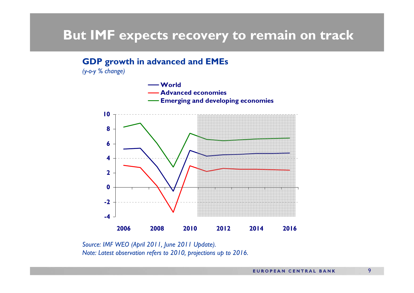### **But IMF expects recovery to remain on track**

#### **GDP growth in advanced and EMEs**

*(y-o-y % change)*



*Source: IMF WEO (April 2011, June 2011 Update). Note: Latest observation refers to 2010, projections up to 2016.*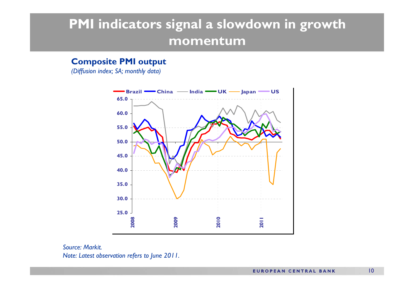# **PMI indicators signal a slowdown in growth momentum**

#### **Composite PMI output**

*(Diffusion index; SA; monthly data)*



*Source: Markit. Note: Latest observation refers to June 2011.*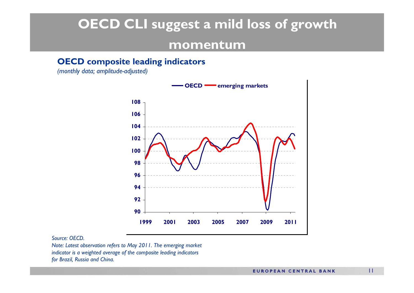# **OECD CLI suggest a mild loss of growth momentum**

#### **OECD composite leading indicators**

*(monthly data; amplitude-adjusted)*



#### *Source: OECD.*

*Note: Latest observation refers to May 2011. The emerging market indicator is a weighted average of the composite leading indicators for Brazil, Russia and China.*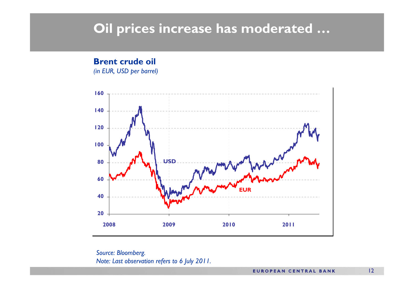### **Oil prices increase has moderated …**

#### **Brent crude oil**

*(in EUR, USD per barrel)*



*Source: Bloomberg. Note: Last observation refers to 6 July 2011.*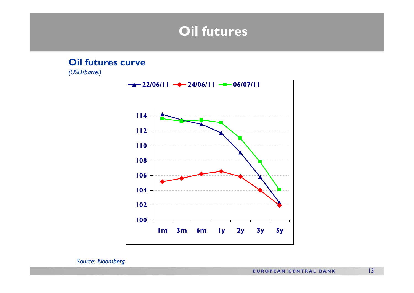### **Oil futures**

# **Oil futures curve** *(USD/barrel)* **100 102 104 106 108 110 112 114 1m 3m 6m 1y 2y 3y 5y 22/06/11 24/06/11 06/07/11**

*Source: Bloomberg*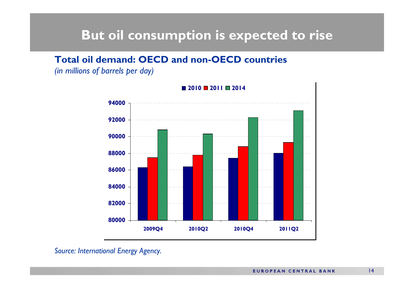### **But oil consumption is expected to rise**

### **Total oil demand: OECD and non-OECD countries**

*(in millions of barrels per day)*



#### *Source: International Energy Agency.*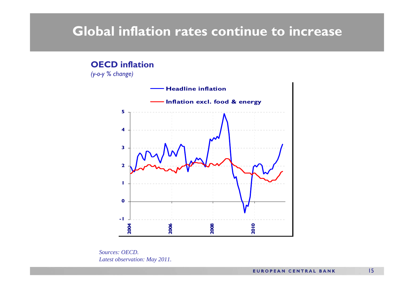### **Global inflation rates continue to increase**

#### **OECD inflation**

*(y-o-y % change)*



*Sources: OECD.Latest observation: May 2011.*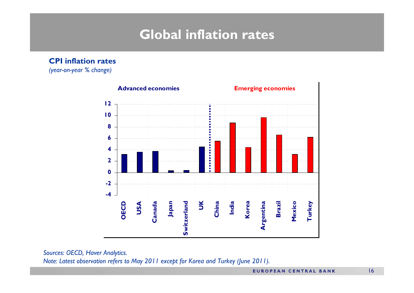# **Global inflation rates**

**CPI inflation rates** 

*(year-on-year % change)*



*Sources: OECD, Haver Analytics.*

*Note: Latest observation refers to May 2011 except for Korea and Turkey (June 2011).*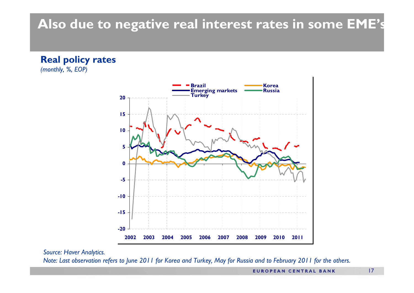# **Also due to negative real interest rates in some EME's**

**Real policy rates** *(monthly, %, EOP)*



*Source: Haver Analytics.*

*Note: Last observation refers to June 2011 for Korea and Turkey, May for Russia and to February 2011 for the others.*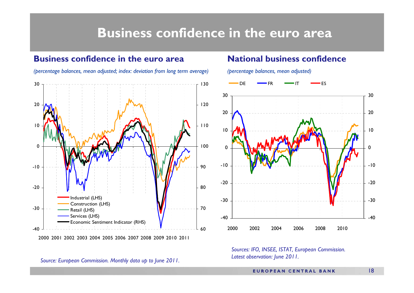### **Business confidence in the euro area**

#### **Business confidence in the euro area***(percentage balances, mean adjusted; index: deviation from long term average)*  $-40$ -30-20-10 $\Omega$ 1020302000 2001 2002 2003 2004 2005 2006 2007 2008 2009 2010 201160708090100110120130Industrial (LHS) Construction (LHS) Retail (LHS) Services (LHS) Economic Sentiment Indicator (RHS)

#### **National business confidence**

*(percentage balances, mean adjusted)*



*Sources: IFO, INSEE, ISTAT, European Commission. Latest observation: June 2011.*

*Source: European Commission. Monthly data up to June 2011.*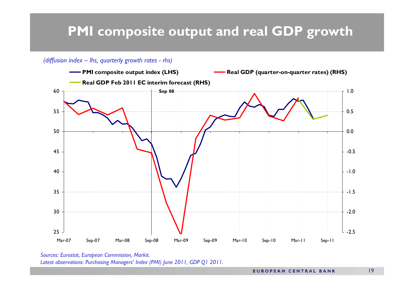# **PMI composite output and real GDP growth**

#### *(diffusion index – lhs, quarterly growth rates - rhs)*



*Sources: Eurostat, European Commission, Markit. Latest observations: Purchasing Managers' Index (PMI) June 2011, GDP Q1 2011.*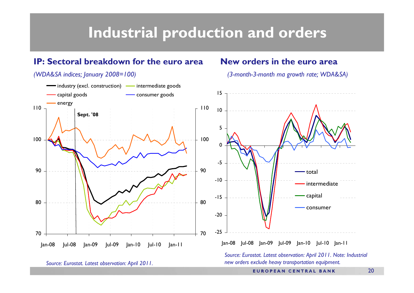# **Industrial production and orders**

#### **IP: Sectoral breakdown for the euro area**

*(WDA&SA indices; January 2008=100)*

#### **New orders in the euro area**

*(3-month-3-month ma growth rate; WDA&SA)*



*Source: Eurostat. Latest observation: April 2011. Note: Industrial new orders exclude heavy transportation equipment.*

*Source: Eurostat. Latest observation: April 2011.*

**EUROPEAN CENTRAL BANK**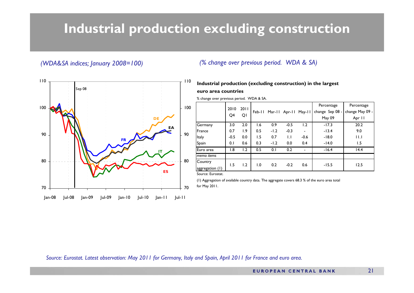# **Industrial production excluding construction**



#### *(WDA&SA indices; January 2008=100) (% change over previous period. WDA & SA)*

#### **Industrial production (excluding construction) in the largest euro area countries**

% change over previous period. WDA & SA.

|                   |        |                  |                  |        |               |          | Percentage      | Percentage      |
|-------------------|--------|------------------|------------------|--------|---------------|----------|-----------------|-----------------|
|                   | 2010   | 2011             | Feb-11           |        | Mar-II Apr-II | $May-11$ | change Sep 08 - | change May 09 - |
|                   | Q4     | QI               |                  |        |               |          | May 09          | Apr II          |
| Germany           | 3.0    | 2.0              | 1.6              | 0.9    | $-0.5$        | 1.2      | $-17.3$         | 20.2            |
| France            | 0.7    | $\overline{1.9}$ | 0.5              | $-1.2$ | $-0.3$        |          | $-13.4$         | 9.0             |
| Italy             | $-0.5$ | 0.0              | 1.5              | 0.7    | $\mathsf{L}$  | $-0.6$   | $-18.0$         | 11.1            |
| Spain             | 0.1    | 0.6              | 0.3              | $-1.2$ | 0.0           | 0.4      | $-14.0$         | 1.5             |
| Euro area         | 1.8    | 1.2              | 0.5              | 0.1    | 0.2           |          | $-16.4$         | 14.4            |
| memo <i>items</i> |        |                  |                  |        |               |          |                 |                 |
| Country           | 1.5    | 1.2              | $\overline{1.0}$ | 0.2    | $-0.2$        | 0.6      | $-15.5$         | 12.5            |
| aggregation (1)   |        |                  |                  |        |               |          |                 |                 |

Source: Eurostat.

(1) Aggregation of available country data. The aggregate covers 68.3 % of the euro area total

*Source: Eurostat. Latest observation: May 2011 for Germany, Italy and Spain, April 2011 for France and euro area.*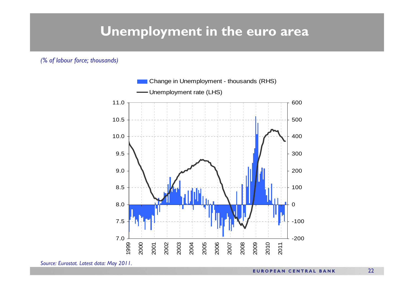### **Unemployment in the euro area**

*(% of labour force; thousands)*



*Source: Eurostat. Latest data: May 2011.*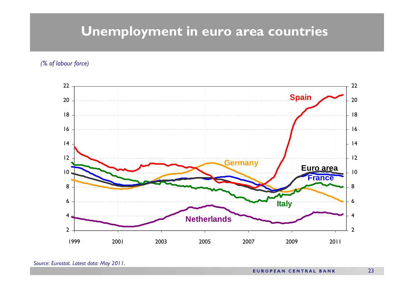# **Unemployment in euro area countries**

*(% of labour force)* 

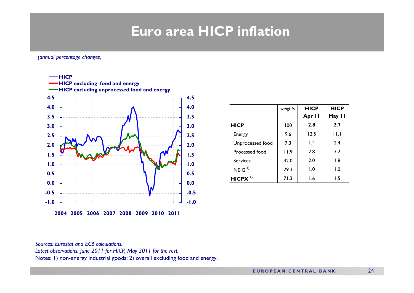# **Euro area HICP inflation**

#### *(annual percentage changes)*



|                   | weights | <b>HICP</b> | <b>HICP</b>             |
|-------------------|---------|-------------|-------------------------|
|                   |         | Apr II      | May II                  |
| <b>HICP</b>       | 100     | 2.8         | 2.7                     |
| Energy            | 9.6     | 12.5        | $\mathsf{H}.\mathsf{I}$ |
| Unprocessed food  | 7.3     | 1.4         | 2.4                     |
| Processed food    | 11.9    | 2.8         | 3.2                     |
| <b>Services</b>   | 42.0    | 2.0         | 1.8                     |
| NEIG <sup>1</sup> | 29.3    | 1.0         | $\overline{1.0}$        |
| HICPX $^{2)}$     | 71.3    | 1.6         | ۱.5                     |

*Sources: Eurostat and ECB calculations. Latest observations: June 2011 for HICP, May 2011 for the rest.* Notes: 1) non-energy industrial goods; 2) overall excluding food and energy.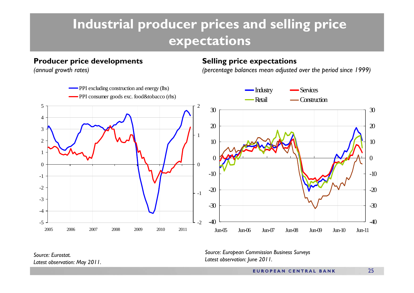# **Industrial producer prices and selling price expectations**

#### **Producer price developments**

*(annual growth rates)*

#### **Selling price expectations**

*(percentage balances mean adjusted over the period since 1999)*



*Source: European Commission Business Surveys Latest observation: June 2011.*

*Source: Eurostat.Latest observation: May 2011.*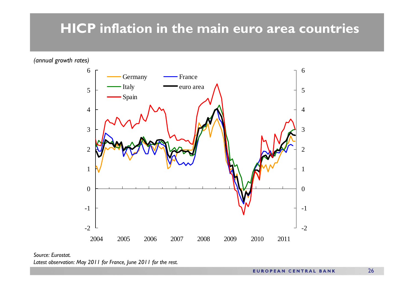# **HICP inflation in the main euro area countries**

*(annual growth rates)*



*Source: Eurostat.Latest observation: May 2011 for France, June 2011 for the rest.*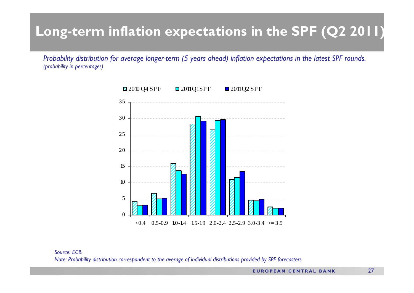# **Long-term inflation expectations in the SPF (Q2 2011 )**

*Probability distribution for average longer-term (5 years ahead) inflation expectations in the latest SPF rounds. (probability in percentages)*



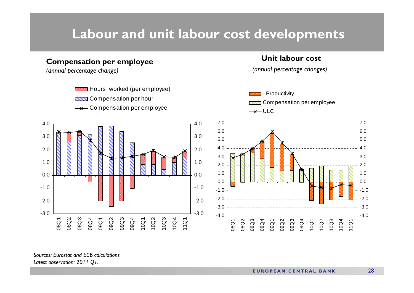### **Labour and unit labour cost developments**

#### **Compensation per employee**

*(annual percentage change)*



#### **Unit labour cost**

*(annual percentage changes)*





*Sources: Eurostat and ECB calculations.Latest observation: 2011 Q1.*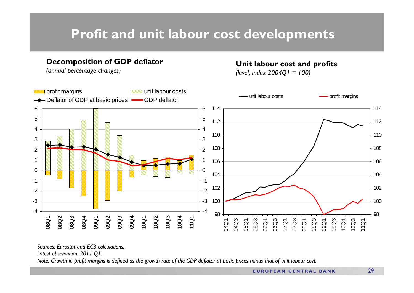# **Profit and unit labour cost developments**

#### **Decomposition of GDP deflator**

*(annual percentage changes)*

#### **Unit labour cost and profits**

*(level, index 2004Q1 = 100)*



*Sources: Eurostat and ECB calculations.*

*Latest observation: 2011 Q1.* 

*Note: Growth in profit margins is defined as the growth rate of the GDP deflator at basic prices minus that of unit labour cost.*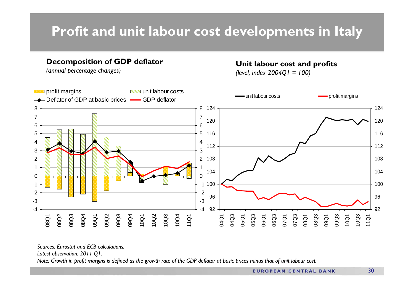# **Profit and unit labour cost developments in Italy**

#### **Decomposition of GDP deflator**

# *(annual percentage changes)* **Unit labour cost and profits** *(level, index 2004Q1 = 100)*



*Sources: Eurostat and ECB calculations.*

*Latest observation: 2011 Q1.* 

*Note: Growth in profit margins is defined as the growth rate of the GDP deflator at basic prices minus that of unit labour cost.*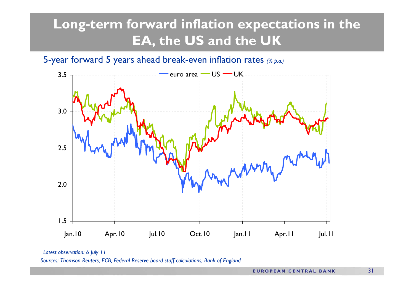# **Long-term forward inflation expectations in the EA, the US and the UK**

### 5-year forward 5 years ahead break-even inflation rates *(% p.a.)*



*Latest observation: 6 July 11*

*Sources: Thomson Reuters, ECB, Federal Reserve board staff calculations, Bank of England*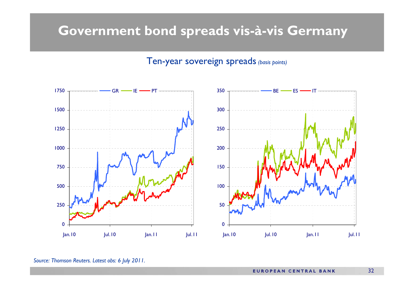### **Government bond spreads vis-à-vis Germany**

#### Ten-year sovereign spreads*(basis points)*



*Source: Thomson Reuters. Latest obs: 6 July 2011.*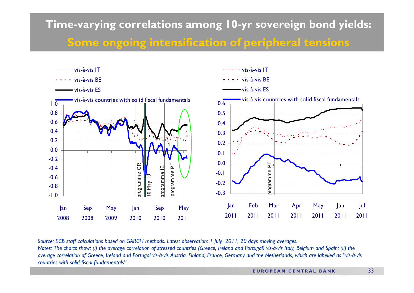# **Time-varying correlations among 10-yr sovereign bond yields: Some ongoing intensification of peripheral tensions**



*Source: ECB staff calculations based on GARCH methods. Latest observation: 1 July 2011, 20 days moving averages. Notes: The charts show: (i) the average correlation of stressed countries (Greece, Ireland and Portugal) vis-à-vis Italy, Belgium and Spain; (ii) the average correlation of Greece, Ireland and Portugal vis-à-vis Austria, Finland, France, Germany and the Netherlands, which are labelled as "vis-à-vis countries with solid fiscal fundamentals".*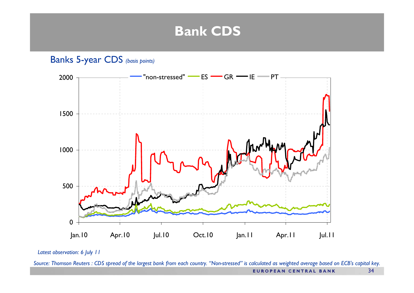### **Bank CDS**

Banks 5-year CDS *(basis points)*



*Latest observation: 6 July 11*

*Source: Thomson Reuters : CDS spread of the largest bank from each country. "Non-stressed" is calculated as weighted average based on ECB's capital key.*  **EUROPEAN CENTRAL BANK** 34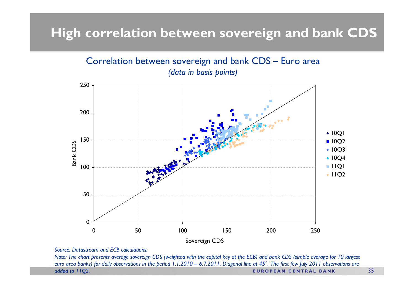# **High correlation between sovereign and bank CDS**



*Source: Datastream and ECB calculations.*

*Note: The chart presents average sovereign CDS (weighted with the capital key at the ECB) and bank CDS (simple average for 10 largest euro area banks) for daily observations in the period 1.1.2010 – 6.7.2011. Diagonal line at 45°. The first few July 2011 observations are added to 11Q2.* **EUROPEAN CENTRAL BANK**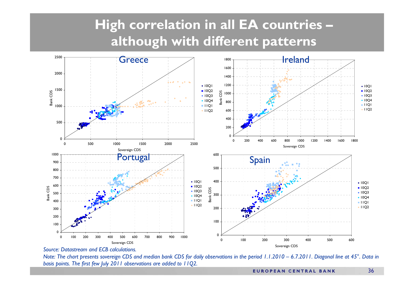# **High correlation in all EA countries – although with different patterns**



#### *Source: Datastream and ECB calculations.*

*Note: The chart presents sovereign CDS and median bank CDS for daily observations in the period 1.1.2010 – 6.7.2011. Diagonal line at 45°. Data in basis points. The first few July 2011 observations are added to 11Q2.*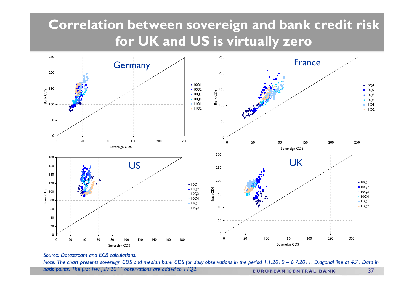# **Correlation between sovereign and bank credit risk for UK and US is virtually zero**



*Source: Datastream and ECB calculations.*

*Note: The chart presents sovereign CDS and median bank CDS for daily observations in the period 1.1.2010 – 6.7.2011. Diagonal line at 45°. Data in basis points. The first few July 2011 observations are added to 11Q2.*37**EUROPEAN CENTRAL BANK**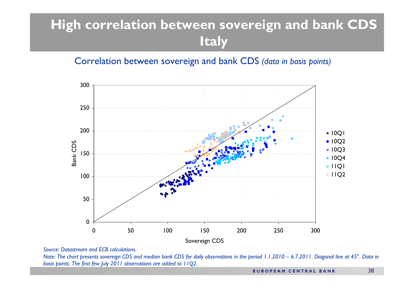# **High correlation between sovereign and bank CDS Italy**

Correlation between sovereign and bank CDS *(data in basis points)*



*Source: Datastream and ECB calculations.*

*Note: The chart presents sovereign CDS and median bank CDS for daily observations in the period 1.1.2010 – 6.7.2011. Diagonal line at 45°. Data in basis points. The first few July 2011 observations are added to 11Q2.*

**EUROPEAN CENTRAL BANK**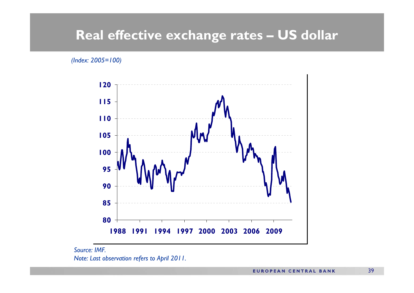### **Real effective exchange rates – US dollar**

*(Index: 2005=100)*



*Source: IMF.Note: Last observation refers to April 2011.*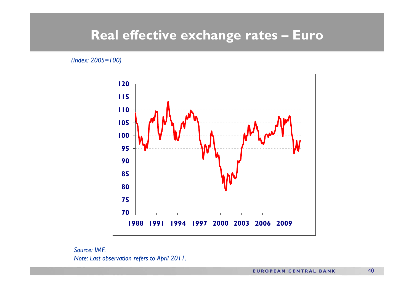### **Real effective exchange rates – Euro**

*(Index: 2005=100)*



*Source: IMF.Note: Last observation refers to April 2011.*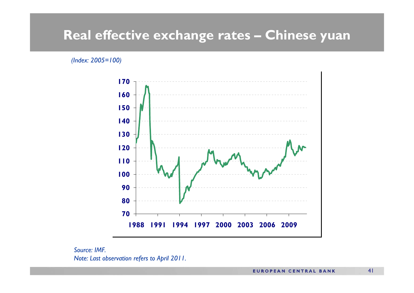### **Real effective exchange rates – Chinese yuan**

#### *(Index: 2005=100)*



*Source: IMF.Note: Last observation refers to April 2011.*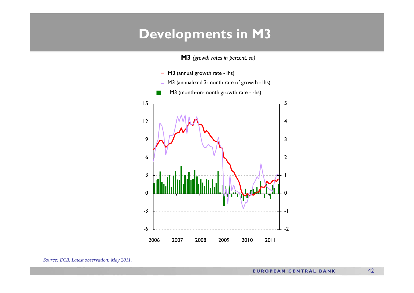### **Developments in M3**

**M3** *(growth rates in percent, sa)*

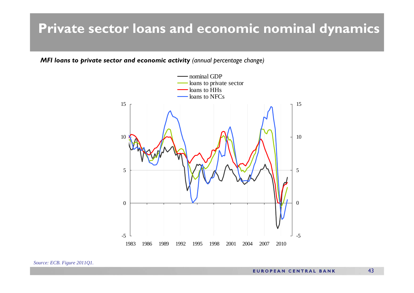### **Private sector loans and economic nominal dynamics**

*MFI loans to private sector and economic activity (annual percentage change)*



*Source: ECB. Figure 2011Q1.*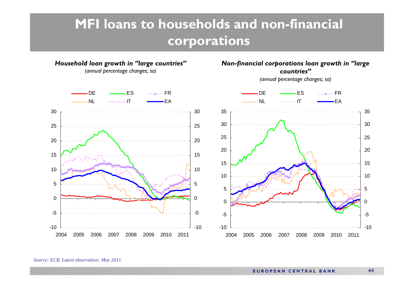# **MFI loans to households and non-financial corporations**



*Source: ECB. Latest observation: May 2011.*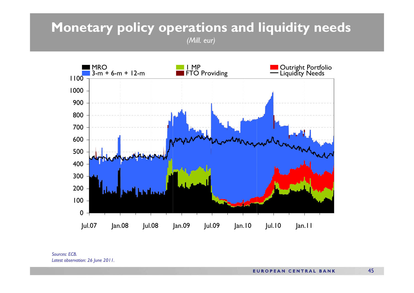# **Monetary policy operations and liquidity needs**





*Sources: ECB.Latest observation: 26 June 2011.*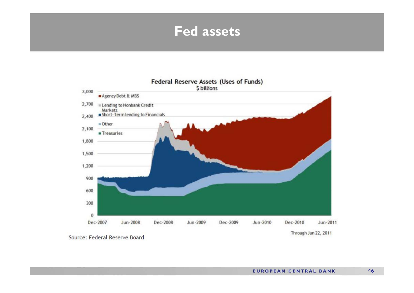### **Fed assets**



Through Jun 22, 2011

Source: Federal Reserve Board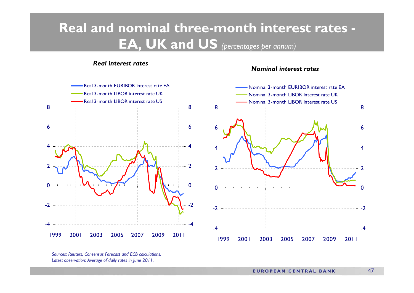# **Real and nominal three-month interest rates - EA, UK and US** *(percentages per annum)*

#### *Real interest rates*

#### *Nominal interest rates*





*Sources: Reuters, Consensus Forecast and ECB calculations. Latest observation: Average of daily rates in June 2011.*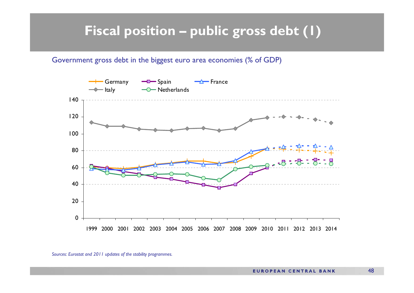# **Fiscal position – public gross debt (1)**

#### Government gross debt in the biggest euro area economies (% of GDP)



*Sources: Eurostat and 2011 updates of the stability programmes.*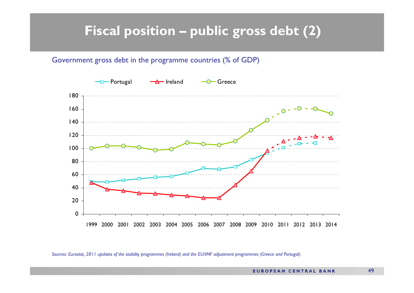# **Fiscal position – public gross debt (2)**

#### Government gross debt in the programme countries (% of GDP)



*Sources: Eurostat, 2011 updates of the stability programmes (Ireland) and the EU/IMF adjustment programmes (Greece and Portugal).*